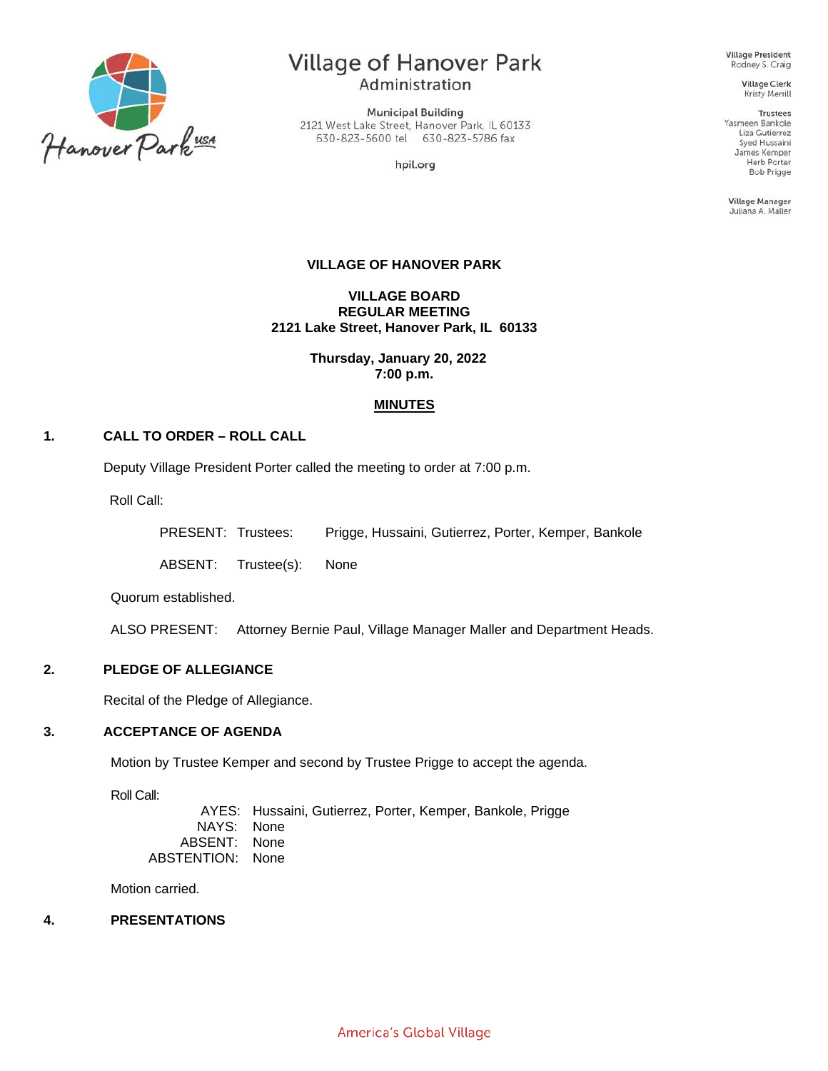

# Village of Hanover Park Administration

**Municipal Building** 2121 West Lake Street, Hanover Park, IL 60133 630-823-5600 tel 630-823-5786 fax

hpil.org

**Village President** Rodney S. Craig

> **Village Clerk** Kristy Merrill

**Trustees** Yasmeen Bankole Liza Gutierrez Syed Hussaini James Kemper Herb Porter **Bob Prigge** 

**Village Manager** Juliana A. Maller

### **VILLAGE OF HANOVER PARK**

**VILLAGE BOARD REGULAR MEETING 2121 Lake Street, Hanover Park, IL 60133**

> **Thursday, January 20, 2022 7:00 p.m.**

### **MINUTES**

### **1. CALL TO ORDER – ROLL CALL**

Deputy Village President Porter called the meeting to order at 7:00 p.m.

Roll Call:

PRESENT: Trustees: Prigge, Hussaini, Gutierrez, Porter, Kemper, Bankole

ABSENT: Trustee(s): None

Quorum established.

ALSO PRESENT: Attorney Bernie Paul, Village Manager Maller and Department Heads.

### **2. PLEDGE OF ALLEGIANCE**

Recital of the Pledge of Allegiance.

#### **3. ACCEPTANCE OF AGENDA**

Motion by Trustee Kemper and second by Trustee Prigge to accept the agenda.

Roll Call:

AYES: Hussaini, Gutierrez, Porter, Kemper, Bankole, Prigge NAYS: None ABSENT: None ABSTENTION: None

Motion carried.

#### **4. PRESENTATIONS**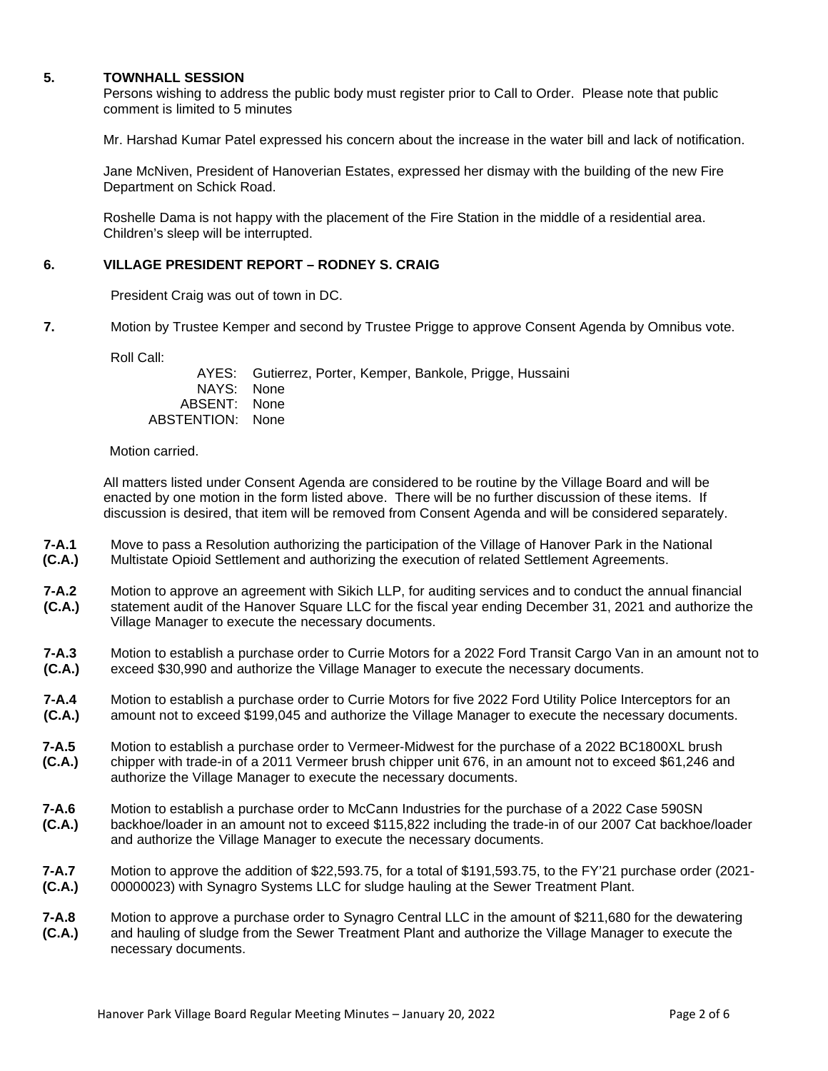### **5. TOWNHALL SESSION**

Persons wishing to address the public body must register prior to Call to Order. Please note that public comment is limited to 5 minutes

Mr. Harshad Kumar Patel expressed his concern about the increase in the water bill and lack of notification.

Jane McNiven, President of Hanoverian Estates, expressed her dismay with the building of the new Fire Department on Schick Road.

Roshelle Dama is not happy with the placement of the Fire Station in the middle of a residential area. Children's sleep will be interrupted.

#### **6. VILLAGE PRESIDENT REPORT – RODNEY S. CRAIG**

President Craig was out of town in DC.

**7.** Motion by Trustee Kemper and second by Trustee Prigge to approve Consent Agenda by Omnibus vote.

Roll Call:

AYES: Gutierrez, Porter, Kemper, Bankole, Prigge, Hussaini NAYS: None ABSENT: None ABSTENTION: None

Motion carried.

All matters listed under Consent Agenda are considered to be routine by the Village Board and will be enacted by one motion in the form listed above. There will be no further discussion of these items. If discussion is desired, that item will be removed from Consent Agenda and will be considered separately.

- **7-A.1 (C.A.)** Move to pass a Resolution authorizing the participation of the Village of Hanover Park in the National Multistate Opioid Settlement and authorizing the execution of related Settlement Agreements.
- **7-A.2 (C.A.)** Motion to approve an agreement with Sikich LLP, for auditing services and to conduct the annual financial statement audit of the Hanover Square LLC for the fiscal year ending December 31, 2021 and authorize the Village Manager to execute the necessary documents.
- **7-A.3 (C.A.)** Motion to establish a purchase order to Currie Motors for a 2022 Ford Transit Cargo Van in an amount not to exceed \$30,990 and authorize the Village Manager to execute the necessary documents.
- **7-A.4 (C.A.)** Motion to establish a purchase order to Currie Motors for five 2022 Ford Utility Police Interceptors for an amount not to exceed \$199,045 and authorize the Village Manager to execute the necessary documents.
- **7-A.5 (C.A.)** Motion to establish a purchase order to Vermeer-Midwest for the purchase of a 2022 BC1800XL brush chipper with trade-in of a 2011 Vermeer brush chipper unit 676, in an amount not to exceed \$61,246 and authorize the Village Manager to execute the necessary documents.
- **7-A.6 (C.A.)** Motion to establish a purchase order to McCann Industries for the purchase of a 2022 Case 590SN backhoe/loader in an amount not to exceed \$115,822 including the trade-in of our 2007 Cat backhoe/loader and authorize the Village Manager to execute the necessary documents.
- **7-A.7 (C.A.)** Motion to approve the addition of \$22,593.75, for a total of \$191,593.75, to the FY'21 purchase order (2021- 00000023) with Synagro Systems LLC for sludge hauling at the Sewer Treatment Plant.
- **7-A.8 (C.A.)** Motion to approve a purchase order to Synagro Central LLC in the amount of \$211,680 for the dewatering and hauling of sludge from the Sewer Treatment Plant and authorize the Village Manager to execute the necessary documents.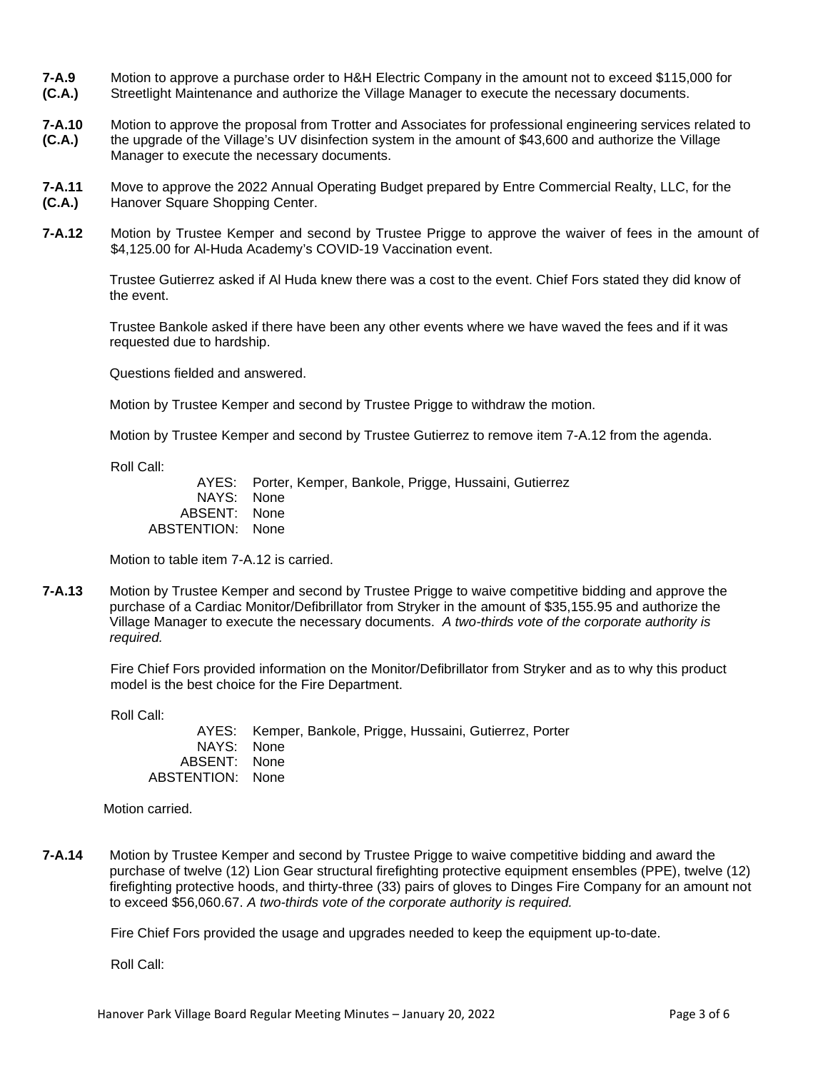- **7-A.9 (C.A.)** Motion to approve a purchase order to H&H Electric Company in the amount not to exceed \$115,000 for Streetlight Maintenance and authorize the Village Manager to execute the necessary documents.
- **7-A.10 (C.A.)** Motion to approve the proposal from Trotter and Associates for professional engineering services related to the upgrade of the Village's UV disinfection system in the amount of \$43,600 and authorize the Village Manager to execute the necessary documents.
- **7-A.11 (C.A.)** Move to approve the 2022 Annual Operating Budget prepared by Entre Commercial Realty, LLC, for the Hanover Square Shopping Center.
- **7-A.12** Motion by Trustee Kemper and second by Trustee Prigge to approve the waiver of fees in the amount of \$4,125.00 for Al-Huda Academy's COVID-19 Vaccination event.

Trustee Gutierrez asked if Al Huda knew there was a cost to the event. Chief Fors stated they did know of the event.

Trustee Bankole asked if there have been any other events where we have waved the fees and if it was requested due to hardship.

Questions fielded and answered.

Motion by Trustee Kemper and second by Trustee Prigge to withdraw the motion.

Motion by Trustee Kemper and second by Trustee Gutierrez to remove item 7-A.12 from the agenda.

Roll Call:

AYES: Porter, Kemper, Bankole, Prigge, Hussaini, Gutierrez NAYS: None ABSENT: None ABSTENTION: None

Motion to table item 7-A.12 is carried.

**7-A.13** Motion by Trustee Kemper and second by Trustee Prigge to waive competitive bidding and approve the purchase of a Cardiac Monitor/Defibrillator from Stryker in the amount of \$35,155.95 and authorize the Village Manager to execute the necessary documents. *A two-thirds vote of the corporate authority is required.*

Fire Chief Fors provided information on the Monitor/Defibrillator from Stryker and as to why this product model is the best choice for the Fire Department.

Roll Call:

AYES: Kemper, Bankole, Prigge, Hussaini, Gutierrez, Porter NAYS: None ABSENT: None ABSTENTION: None

Motion carried.

**7-A.14** Motion by Trustee Kemper and second by Trustee Prigge to waive competitive bidding and award the purchase of twelve (12) Lion Gear structural firefighting protective equipment ensembles (PPE), twelve (12) firefighting protective hoods, and thirty-three (33) pairs of gloves to Dinges Fire Company for an amount not to exceed \$56,060.67. *A two-thirds vote of the corporate authority is required.*

Fire Chief Fors provided the usage and upgrades needed to keep the equipment up-to-date.

Roll Call: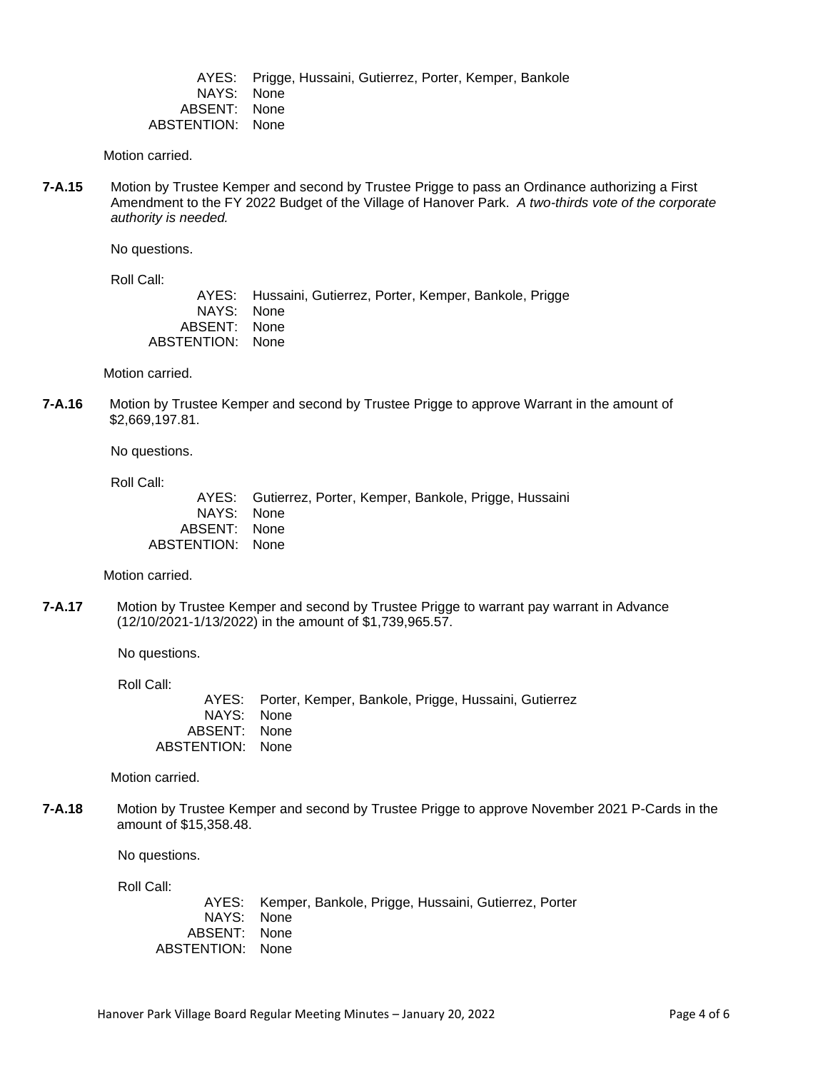AYES: Prigge, Hussaini, Gutierrez, Porter, Kemper, Bankole NAYS: None ABSENT: None ABSTENTION: None

Motion carried.

**7-A.15** Motion by Trustee Kemper and second by Trustee Prigge to pass an Ordinance authorizing a First Amendment to the FY 2022 Budget of the Village of Hanover Park. *A two-thirds vote of the corporate authority is needed.*

No questions.

Roll Call:

AYES: Hussaini, Gutierrez, Porter, Kemper, Bankole, Prigge<br>NAYS: None NAYS: ABSENT: None ABSTENTION: None

Motion carried.

**7-A.16** Motion by Trustee Kemper and second by Trustee Prigge to approve Warrant in the amount of \$2,669,197.81.

No questions.

Roll Call:

AYES: Gutierrez, Porter, Kemper, Bankole, Prigge, Hussaini NAYS: None ABSENT: None ABSTENTION: None

Motion carried.

**7-A.17** Motion by Trustee Kemper and second by Trustee Prigge to warrant pay warrant in Advance (12/10/2021-1/13/2022) in the amount of \$1,739,965.57.

No questions.

Roll Call:

AYES: Porter, Kemper, Bankole, Prigge, Hussaini, Gutierrez NAYS: None ABSENT: None ABSTENTION: None

Motion carried.

**7-A.18** Motion by Trustee Kemper and second by Trustee Prigge to approve November 2021 P-Cards in the amount of \$15,358.48.

No questions.

Roll Call:

AYES: Kemper, Bankole, Prigge, Hussaini, Gutierrez, Porter NAYS: None ABSENT: None ABSTENTION: None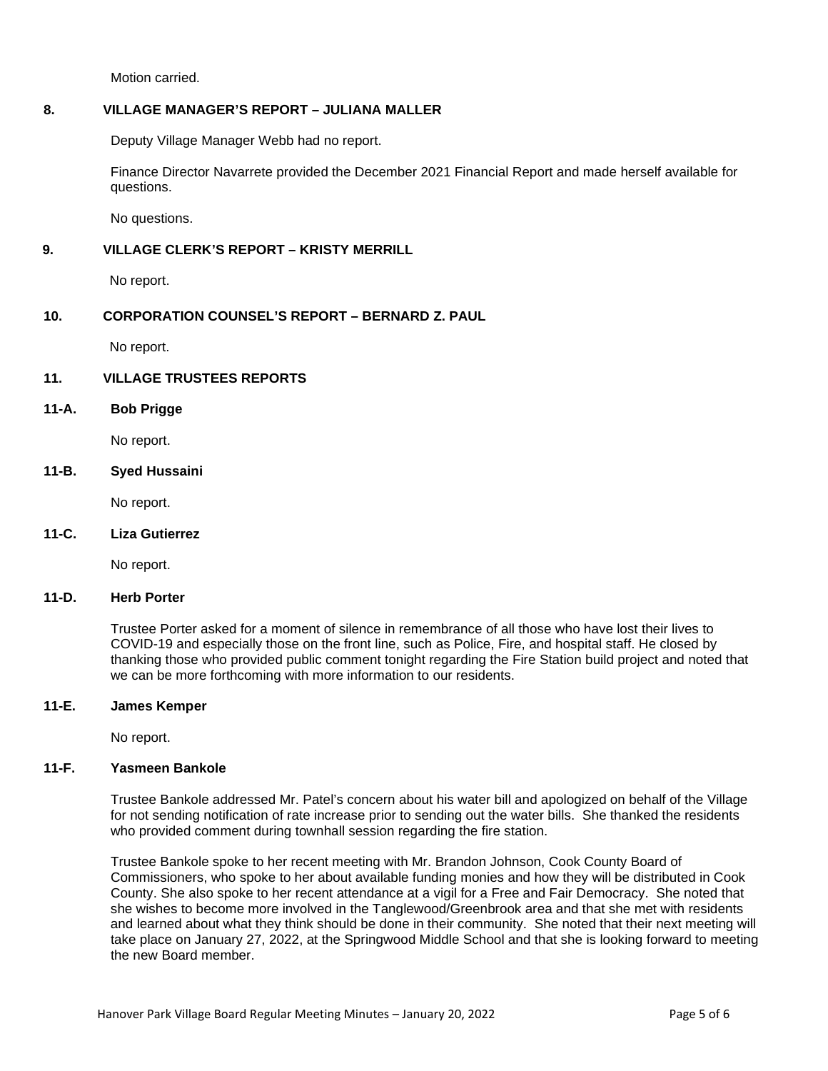Motion carried.

### **8. VILLAGE MANAGER'S REPORT – JULIANA MALLER**

Deputy Village Manager Webb had no report.

Finance Director Navarrete provided the December 2021 Financial Report and made herself available for questions.

No questions.

# **9. VILLAGE CLERK'S REPORT – KRISTY MERRILL**

No report.

# **10. CORPORATION COUNSEL'S REPORT – BERNARD Z. PAUL**

No report.

# **11. VILLAGE TRUSTEES REPORTS**

# **11-A. Bob Prigge**

No report.

# **11-B. Syed Hussaini**

No report.

#### **11-C. Liza Gutierrez**

No report.

### **11-D. Herb Porter**

Trustee Porter asked for a moment of silence in remembrance of all those who have lost their lives to COVID-19 and especially those on the front line, such as Police, Fire, and hospital staff. He closed by thanking those who provided public comment tonight regarding the Fire Station build project and noted that we can be more forthcoming with more information to our residents.

### **11-E. James Kemper**

No report.

### **11-F. Yasmeen Bankole**

Trustee Bankole addressed Mr. Patel's concern about his water bill and apologized on behalf of the Village for not sending notification of rate increase prior to sending out the water bills. She thanked the residents who provided comment during townhall session regarding the fire station.

Trustee Bankole spoke to her recent meeting with Mr. Brandon Johnson, Cook County Board of Commissioners, who spoke to her about available funding monies and how they will be distributed in Cook County. She also spoke to her recent attendance at a vigil for a Free and Fair Democracy. She noted that she wishes to become more involved in the Tanglewood/Greenbrook area and that she met with residents and learned about what they think should be done in their community. She noted that their next meeting will take place on January 27, 2022, at the Springwood Middle School and that she is looking forward to meeting the new Board member.